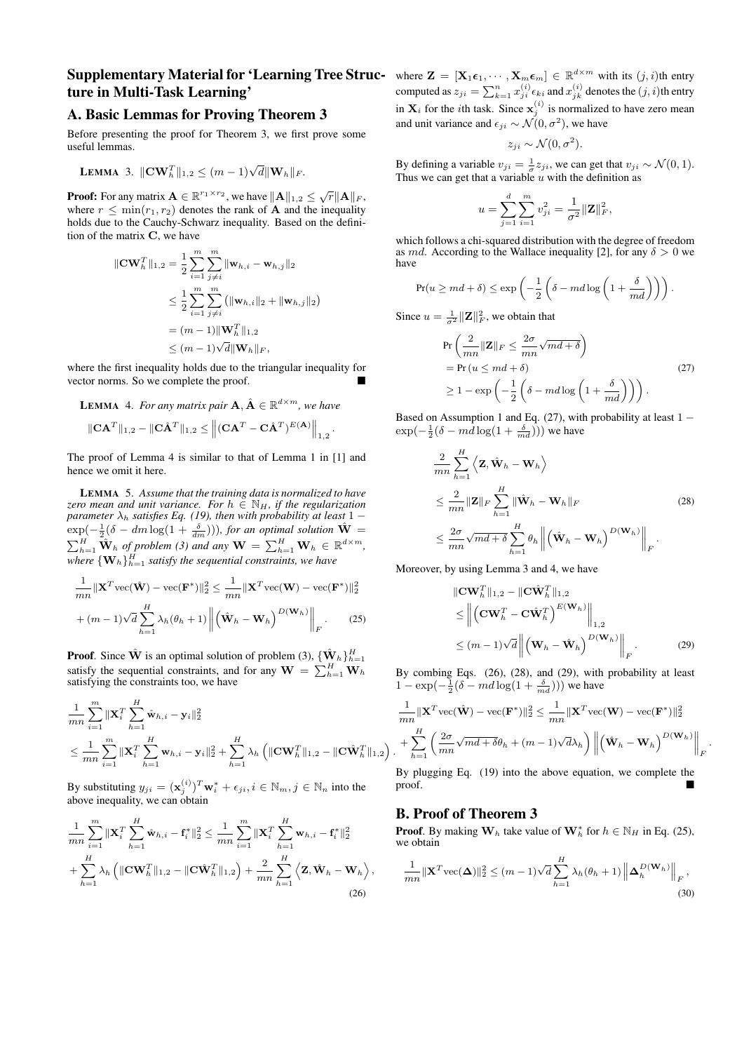## **Supplementary Material for 'Learning Tree Struc-** where  $\mathbf{Z} = [\mathbf{X}_1 \boldsymbol{\epsilon}_1, \cdots, \mathbf{X}_m \boldsymbol{\epsilon}_m] \in \mathbb{R}^{d \times m}$  with its  $(j, i)$ th entry ture in Multi-Task Learning'

## A. Basic Lemmas for Proving Theorem 3

Before presenting the proof for Theorem 3, we first prove some useful lemmas.

**LEMMA** 3. 
$$
\|\mathbf{CW}_h^T\|_{1,2} \leq (m-1)\sqrt{d} \|\mathbf{W}_h\|_F.
$$

**Proof:** For any matrix  $\mathbf{A} \in \mathbb{R}^{r_1 \times r_2}$ , we have  $\|\mathbf{A}\|_{1,2} \leq \sqrt{r} \|\mathbf{A}\|_F$ , where  $r \n\t\leq \min(r_1, r_2)$  denotes the rank of **A** and the inequality holds due to the Cauchy-Schwarz inequality. Based on the definition of the matrix C, we have

$$
\|\mathbf{C}\mathbf{W}_{h}^{T}\|_{1,2} = \frac{1}{2} \sum_{i=1}^{m} \sum_{j \neq i}^{m} \|\mathbf{w}_{h,i} - \mathbf{w}_{h,j}\|_{2}
$$
  
\n
$$
\leq \frac{1}{2} \sum_{i=1}^{m} \sum_{j \neq i}^{m} (\|\mathbf{w}_{h,i}\|_{2} + \|\mathbf{w}_{h,j}\|_{2})
$$
  
\n
$$
= (m-1) \|\mathbf{W}_{h}^{T}\|_{1,2}
$$
  
\n
$$
\leq (m-1)\sqrt{d} \|\mathbf{W}_{h}\|_{F},
$$

where the first inequality holds due to the triangular inequality for vector norms. So we complete the proof.

**LEMMA** 4. For any matrix pair  $\mathbf{A}, \hat{\mathbf{A}} \in \mathbb{R}^{d \times m}$ , we have

$$
\|\mathbf{C}\mathbf{A}^T\|_{1,2} - \|\mathbf{C}\hat{\mathbf{A}}^T\|_{1,2} \le \left\|(\mathbf{C}\mathbf{A}^T - \mathbf{C}\hat{\mathbf{A}}^T)^{E(\mathbf{A})}\right\|_{1,2}.
$$

The proof of Lemma 4 is similar to that of Lemma 1 in [1] and hence we omit it here.

LEMMA 5. *Assume that the training data is normalized to have zero mean and unit variance. For*  $h \in \mathbb{N}_H$ , *if the regularization parameter*  $\lambda_h$  *satisfies Eq. (19), then with probability at least* 1 −  $\exp(-\frac{1}{2}(\delta - dm \log(1 + \frac{\delta}{dm}))),$  for an optimal solution  $\hat{\mathbf{W}} =$  $\sum_{h=1}^{H} \hat{\mathbf{W}}_h$  of problem (3) and any  $\mathbf{W} = \sum_{h=1}^{H} \mathbf{W}_h \in \mathbb{R}^{d \times m}$ , where  $\left\{{\mathbf{W}}_h\right\}_{h=1}^H$  satisfy the sequential constraints, we have

$$
\frac{1}{mn} ||\mathbf{X}^T \text{vec}(\hat{\mathbf{W}}) - \text{vec}(\mathbf{F}^*)||_2^2 \le \frac{1}{mn} ||\mathbf{X}^T \text{vec}(\mathbf{W}) - \text{vec}(\mathbf{F}^*)||_2^2
$$

$$
+ (m-1)\sqrt{d} \sum_{h=1}^H \lambda_h(\theta_h + 1) \left\| \left( \hat{\mathbf{W}}_h - \mathbf{W}_h \right)^{D(\mathbf{W}_h)} \right\|_F.
$$
(25)

**Proof.** Since  $\hat{\mathbf{W}}$  is an optimal solution of problem (3),  $\{\hat{\mathbf{W}}_h\}_{h=1}^H$ satisfy the sequential constraints, and for any  $\mathbf{W} = \sum_{h=1}^{H} \mathbf{W}_h$ satisfying the constraints too, we have

$$
\frac{1}{mn} \sum_{i=1}^{m} \|\mathbf{X}_i^T \sum_{h=1}^H \hat{\mathbf{w}}_{h,i} - \mathbf{y}_i\|_2^2
$$
\n
$$
\leq \frac{1}{mn} \sum_{i=1}^{m} \|\mathbf{X}_i^T \sum_{h=1}^H \mathbf{w}_{h,i} - \mathbf{y}_i\|_2^2 + \sum_{h=1}^H \lambda_h \left( \|\mathbf{C}\mathbf{W}_h^T\|_{1,2} - \|\mathbf{C}\hat{\mathbf{W}}_h^T\|_{1,2} \right).
$$

By substituting  $y_{ji} = (\mathbf{x}_j^{(i)})^T \mathbf{w}_i^* + \epsilon_{ji}, i \in \mathbb{N}_m, j \in \mathbb{N}_n$  into the above inequality, we can obtain

$$
\frac{1}{mn} \sum_{i=1}^{m} \|\mathbf{X}_{i}^{T}\sum_{h=1}^{H} \hat{\mathbf{w}}_{h,i} - \mathbf{f}_{i}^{*}\|_{2}^{2} \leq \frac{1}{mn} \sum_{i=1}^{m} \|\mathbf{X}_{i}^{T}\sum_{h=1}^{H} \mathbf{w}_{h,i} - \mathbf{f}_{i}^{*}\|_{2}^{2} + \sum_{h=1}^{H} \lambda_{h} \left( \|\mathbf{C}\mathbf{W}_{h}^{T}\|_{1,2} - \|\mathbf{C}\hat{\mathbf{W}}_{h}^{T}\|_{1,2} \right) + \frac{2}{mn} \sum_{h=1}^{H} \left\langle \mathbf{Z}, \hat{\mathbf{W}}_{h} - \mathbf{W}_{h} \right\rangle
$$
\n(26)

computed as  $z_{ji} = \sum_{k=1}^n x_{ji}^{(i)} \epsilon_{ki}$  and  $x_{jk}^{(i)}$  denotes the  $(j, i)$ th entry in  $\mathbf{X}_i$  for the *i*th task. Since  $\mathbf{x}_j^{(i)}$  is normalized to have zero mean and unit variance and  $\epsilon_{ji} \sim \mathcal{N}(0, \sigma^2)$ , we have

$$
z_{ji} \sim \mathcal{N}(0, \sigma^2).
$$

By defining a variable  $v_{ji} = \frac{1}{\sigma} z_{ji}$ , we can get that  $v_{ji} \sim \mathcal{N}(0, 1)$ . Thus we can get that a variable  $u$  with the definition as

$$
u = \sum_{j=1}^{d} \sum_{i=1}^{m} v_{ji}^{2} = \frac{1}{\sigma^{2}} ||\mathbf{Z}||_{F}^{2},
$$

which follows a chi-squared distribution with the degree of freedom as md. According to the Wallace inequality [2], for any  $\delta > 0$  we have

$$
\Pr(u \ge md + \delta) \le \exp\left(-\frac{1}{2}\left(\delta - md\log\left(1 + \frac{\delta}{md}\right)\right)\right).
$$

Since  $u = \frac{1}{\sigma^2} ||\mathbf{Z}||_F^2$ , we obtain that

$$
\Pr\left(\frac{2}{mn}\|\mathbf{Z}\|_F \le \frac{2\sigma}{mn}\sqrt{md+\delta}\right)
$$
  
= 
$$
\Pr\left(u \le md+\delta\right)
$$
  

$$
\ge 1 - \exp\left(-\frac{1}{2}\left(\delta - md\log\left(1 + \frac{\delta}{md}\right)\right)\right).
$$
 (27)

Based on Assumption 1 and Eq. (27), with probability at least  $1 \exp(-\frac{1}{2}(\delta - md\log(1 + \frac{\delta}{md})))$  we have

$$
\frac{2}{mn} \sum_{h=1}^{H} \left\langle \mathbf{Z}, \hat{\mathbf{W}}_h - \mathbf{W}_h \right\rangle
$$
\n
$$
\leq \frac{2}{mn} \|\mathbf{Z}\|_F \sum_{h=1}^{H} \|\hat{\mathbf{W}}_h - \mathbf{W}_h\|_F
$$
\n
$$
\leq \frac{2\sigma}{mn} \sqrt{md + \delta} \sum_{h=1}^{H} \theta_h \left\| \left( \hat{\mathbf{W}}_h - \mathbf{W}_h \right)^{D(\mathbf{W}_h)} \right\|_F.
$$
\n(28)

Moreover, by using Lemma 3 and 4, we have

$$
\|\mathbf{C}\mathbf{W}_{h}^{T}\|_{1,2} - \|\mathbf{C}\hat{\mathbf{W}}_{h}^{T}\|_{1,2} \n\leq \left\|\left(\mathbf{C}\mathbf{W}_{h}^{T} - \mathbf{C}\hat{\mathbf{W}}_{h}^{T}\right)^{E(\mathbf{W}_{h})}\right\|_{1,2} \n\leq (m-1)\sqrt{d}\left\|\left(\mathbf{W}_{h} - \hat{\mathbf{W}}_{h}\right)^{D(\mathbf{W}_{h})}\right\|_{F}.
$$
\n(29)

By combing Eqs. (26), (28), and (29), with probability at least  $1 - \exp(-\frac{1}{2}(\delta - md \log(1 + \frac{\delta}{md})))$  we have

$$
\frac{1}{mn} ||\mathbf{X}^T \text{vec}(\hat{\mathbf{W}}) - \text{vec}(\mathbf{F}^*)||_2^2 \le \frac{1}{mn} ||\mathbf{X}^T \text{vec}(\mathbf{W}) - \text{vec}(\mathbf{F}^*)||_2^2
$$

$$
+ \sum_{h=1}^H \left( \frac{2\sigma}{mn} \sqrt{md + \delta} \theta_h + (m-1) \sqrt{d} \lambda_h \right) \left\| \left( \hat{\mathbf{W}}_h - \mathbf{W}_h \right)^{D(\mathbf{W}_h)} \right\|_F.
$$

By plugging Eq. (19) into the above equation, we complete the proof.

## B. Proof of Theorem 3

,

**Proof.** By making  $W_h$  take value of  $W_h^*$  for  $h \in \mathbb{N}_H$  in Eq. (25), we obtain

$$
\frac{1}{mn} \|\mathbf{X}^T \text{vec}(\mathbf{\Delta})\|_2^2 \le (m-1)\sqrt{d} \sum_{h=1}^H \lambda_h(\theta_h+1) \left\| \mathbf{\Delta}_h^{D(\mathbf{W}_h)} \right\|_F,
$$
\n(30)